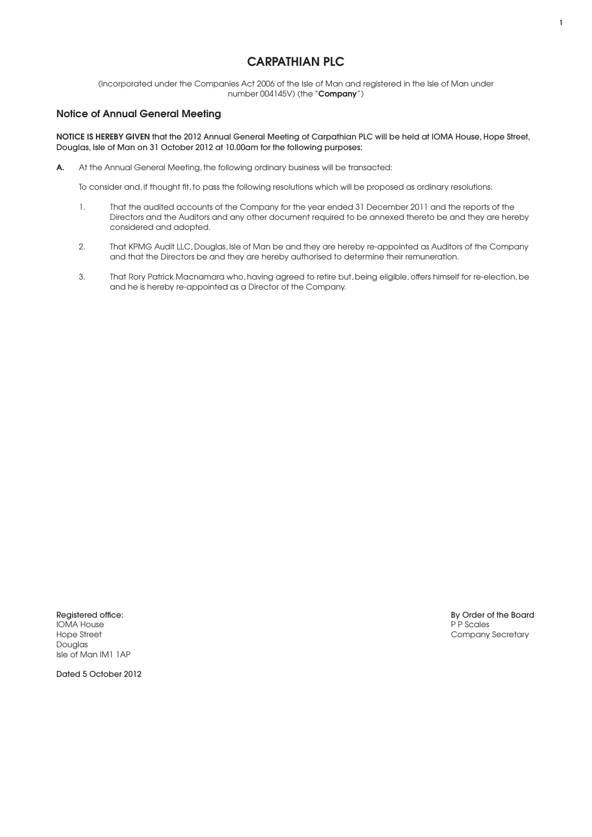## CARPATHIAN PLC

(Incorporated under the Companies Act 2006 of the Isle of Man and registered in the Isle of Man under number 004145V) (the "Company")

## Notice of Annual General Meeting

NOTICE IS HEREBY GIVEN that the 2012 Annual General Meeting of Carpathian PLC will be held at IOMA House, Hope Street, Douglas, Isle of Man on 31 October 2012 at 10.00am for the following purposes:

A. At the Annual General Meeting, the following ordinary business will be transacted:

To consider and, if thought fit, to pass the following resolutions which will be proposed as ordinary resolutions:

- 1. That the audited accounts of the Company for the year ended 31 December 2011 and the reports of the Directors and the Auditors and any other document required to be annexed thereto be and they are hereby considered and adopted.
- 2. That KPMG Audit LLC, Douglas, Isle of Man be and they are hereby re-appointed as Auditors of the Company and that the Directors be and they are hereby authorised to determine their remuneration.
- 3. That Rory Patrick Macnamara who, having agreed to retire but, being eligible, offers himself for re-election, be and he is hereby re-appointed as a Director of the Company.

**IOMA House**<br>Hope Street Douglas Isle of Man IM1 1AP

Registered office: By Order of the Board<br>IOMA House Presenting the Board Present of the Board Present of the Board Present of the Board Present of the Board Present of the Board Present of the Board Present of the Board Pr Company Secretary

Dated 5 October 2012